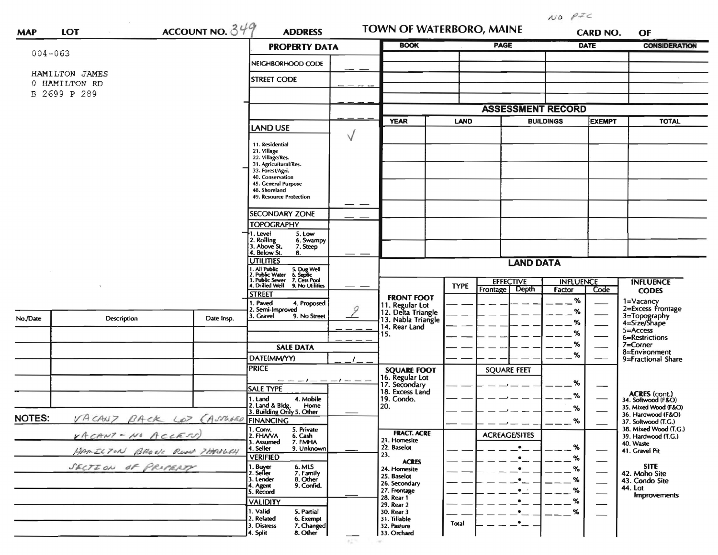$N0$   $\rho zc$ 

| <b>MAP</b>    | <b>LOT</b>                         | ACCOUNT NO. $349$    | <b>ADDRESS</b>                                                                                                      |             | TOWN OF WATERBORO, MAINE              |             |                                       | <b>CARD NO.</b>                   | OF                          |                                           |  |
|---------------|------------------------------------|----------------------|---------------------------------------------------------------------------------------------------------------------|-------------|---------------------------------------|-------------|---------------------------------------|-----------------------------------|-----------------------------|-------------------------------------------|--|
| $004 - 063$   |                                    | <b>PROPERTY DATA</b> |                                                                                                                     | <b>BOOK</b> |                                       | <b>PAGE</b> |                                       | <b>DATE</b>                       | <b>CONSIDERATION</b>        |                                           |  |
|               |                                    |                      | NEIGHBORHOOD CODE                                                                                                   |             |                                       |             |                                       |                                   |                             |                                           |  |
|               | HAMILTON JAMES<br>0 HAMILTON RD    |                      | <b>STREET CODE</b>                                                                                                  |             |                                       |             |                                       |                                   |                             |                                           |  |
|               | B 2699 P 289                       |                      |                                                                                                                     |             |                                       |             |                                       |                                   |                             |                                           |  |
|               |                                    |                      |                                                                                                                     |             |                                       |             | <b>ASSESSMENT RECORD</b>              |                                   |                             |                                           |  |
|               |                                    |                      |                                                                                                                     |             | <b>YEAR</b><br><b>LAND</b>            |             |                                       | <b>BUILDINGS</b><br><b>EXEMPT</b> |                             | <b>TOTAL</b>                              |  |
|               |                                    |                      | <b>LAND USE</b>                                                                                                     |             |                                       |             |                                       |                                   |                             |                                           |  |
|               |                                    |                      | 11. Residential                                                                                                     | V           |                                       |             |                                       |                                   |                             |                                           |  |
|               |                                    |                      | 21. Village                                                                                                         |             |                                       |             |                                       |                                   |                             |                                           |  |
|               |                                    |                      | 22. Village/Res.<br>31. Agricultural/Res.                                                                           |             |                                       |             |                                       |                                   |                             |                                           |  |
|               |                                    |                      | 33. Forest/Agri.                                                                                                    |             |                                       |             |                                       |                                   |                             |                                           |  |
|               |                                    |                      | 40. Conservation<br>45. General Purpose                                                                             |             |                                       |             |                                       |                                   |                             |                                           |  |
|               |                                    |                      | 48. Shoreland                                                                                                       |             |                                       |             |                                       |                                   |                             |                                           |  |
|               |                                    |                      | 49. Resource Protection                                                                                             |             |                                       |             |                                       |                                   |                             |                                           |  |
|               |                                    |                      | <b>SECONDARY ZONE</b>                                                                                               |             |                                       |             |                                       |                                   |                             |                                           |  |
|               |                                    |                      | <b>TOPOGRAPHY</b>                                                                                                   |             |                                       |             |                                       |                                   |                             |                                           |  |
|               |                                    |                      | . Level<br>5. Low<br>6. Swampy                                                                                      |             |                                       |             |                                       |                                   |                             |                                           |  |
|               |                                    |                      | 2. Rolling<br>3. Above St.<br>7. Steep<br>4. Below St.<br>8.                                                        |             |                                       |             |                                       |                                   |                             |                                           |  |
|               |                                    |                      | <b>UTILITIES</b><br>. All Public<br>5. Dug Well<br>6. Septic<br>7. Cess Pool<br>.<br>Public Water<br>. Public Sewer |             | <b>LAND DATA</b>                      |             |                                       |                                   |                             |                                           |  |
|               |                                    |                      |                                                                                                                     |             |                                       |             |                                       |                                   |                             |                                           |  |
|               |                                    |                      | 4. Drilled Well<br>9. No Utilities                                                                                  |             |                                       | <b>TYPE</b> | <b>EFFECTIVE</b><br>Depth<br>Frontage | <b>INFLUENCE</b><br>Factor        | Code                        | <b>INFLUENCE</b>                          |  |
|               |                                    |                      | <b>STREET</b>                                                                                                       |             | <b>FRONT FOOT</b>                     |             |                                       |                                   |                             | <b>CODES</b>                              |  |
|               |                                    |                      | I. Paved<br>4. Proposed<br>2. Semi-Improved                                                                         |             | 11. Regular Lot<br>12. Delta Triangle |             |                                       | %                                 |                             | 1=Vacancy<br>2=Excess Frontage            |  |
| No./Date      | Description                        | Date Insp.           | . Gravel<br>9. No Street                                                                                            |             | 13. Nabla Triangle                    |             |                                       | %                                 |                             | 3=Topography<br>4=Size/Shape              |  |
|               |                                    |                      |                                                                                                                     |             | 14. Rear Land                         |             |                                       | %                                 |                             | 5=Access                                  |  |
|               |                                    |                      |                                                                                                                     |             | 15.                                   |             |                                       | ℅                                 |                             | 6=Restrictions                            |  |
|               |                                    |                      | <b>SALE DATA</b>                                                                                                    |             |                                       |             |                                       | %                                 |                             | $7 =$ Corner                              |  |
|               |                                    |                      | DATE(MM/YY)                                                                                                         |             |                                       |             |                                       | ℅                                 |                             | 8=Environment<br>9=Fractional Share       |  |
|               |                                    |                      | <b>PRICE</b>                                                                                                        |             | <b>SQUARE FOOT</b>                    |             | <b>SQUARE FEET</b>                    |                                   |                             |                                           |  |
|               |                                    |                      |                                                                                                                     |             | 16. Regular Lot                       |             |                                       |                                   |                             |                                           |  |
|               |                                    |                      | <b>SALE TYPE</b>                                                                                                    |             | 17. Secondary<br>18. Excess Land      |             |                                       | %                                 |                             |                                           |  |
|               |                                    |                      | 4. Mobile<br>1. Land                                                                                                |             | 19. Condo.                            |             |                                       | %                                 |                             | ACRES (cont.)<br>34. Softwood (F&O)       |  |
|               |                                    |                      | 2. Land & Bldg. Home<br>3. Building Only 5. Other<br>Home                                                           |             | 20.                                   |             |                                       | %                                 |                             | 35. Mixed Wood (F&O)                      |  |
| <b>NOTES:</b> | VACANZ BACK LOZ (ASTUARD FINANCING |                      |                                                                                                                     |             |                                       |             |                                       | %                                 |                             | 36. Hardwood (F&O)<br>37. Softwood (T.G.) |  |
|               |                                    |                      | 1. Conv.<br>5. Private                                                                                              |             | <b>FRACT. ACRE</b>                    |             | <b>ACREAGE/SITES</b>                  |                                   |                             | 38. Mixed Wood (T.G.)                     |  |
|               | VACANT-NO ACCESS)                  |                      | 2. FHAVA<br>6. Cash<br>7. FMHA<br>3. Assumed                                                                        |             | 21. Homesite                          |             | ٠                                     |                                   |                             | 39. Hardwood (T.G.)<br>40. Waste          |  |
|               | HAMILIZON BROOK RUN THROUGH        |                      | 4. Seller<br>9. Unknown<br><b>VERIFIED</b>                                                                          |             | 22. Baselot<br>23.                    |             |                                       | %                                 |                             | 41. Gravel Pit                            |  |
|               | SECTION OF PROPERTY                |                      | 1. Buyer                                                                                                            |             | <b>ACRES</b>                          |             |                                       | %                                 |                             | <b>SITE</b>                               |  |
|               |                                    |                      | 6. MLS<br>7. Family<br>8. Other<br>. Seller                                                                         |             | 24. Homesite<br>25. Baselot           |             | ٠                                     | %                                 | $\overbrace{\hspace{15em}}$ | 42. Moho Site                             |  |
|               |                                    |                      | 3. Lender<br>9. Confid.<br>4. Agent                                                                                 |             | 26. Secondary                         |             | ٠                                     | ℅                                 | $\overline{\phantom{0}}$    | 43. Condo Site<br>44. Lot                 |  |
|               |                                    |                      | 5. Record                                                                                                           |             | 27. Frontage<br>28. Rear 1            |             | $\bullet$                             | %                                 |                             | <b>Improvements</b>                       |  |
|               |                                    |                      | <b>VALIDITY</b>                                                                                                     |             | 29. Rear 2                            |             | $\bullet$                             | %                                 |                             |                                           |  |
|               |                                    |                      | 1. Valid<br>5. Partial                                                                                              |             | 30. Rear 3                            |             | ٠                                     | ℅                                 |                             |                                           |  |
|               |                                    |                      | 2. Related<br>6. Exempt<br>3. Distress<br>7. Changed                                                                |             | 31. Tillable<br>32. Pasture           | Total       | $\bullet$ $\_$                        |                                   |                             |                                           |  |
|               |                                    |                      | 8. Other<br>4. Split                                                                                                |             | 33. Orchard                           |             |                                       |                                   |                             |                                           |  |